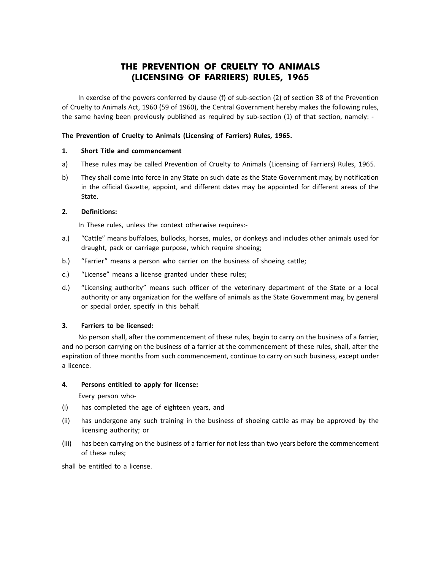# **THE PREVENTION OF CRUELTY TO ANIMALS (LICENSING OF FARRIERS) RULES, 1965**

In exercise of the powers conferred by clause (f) of sub-section (2) of section 38 of the Prevention of Cruelty to Animals Act, 1960 (59 of 1960), the Central Government hereby makes the following rules, the same having been previously published as required by sub-section (1) of that section, namely: -

#### **The Prevention of Cruelty to Animals (Licensing of Farriers) Rules, 1965.**

#### **1. Short Title and commencement**

- a) These rules may be called Prevention of Cruelty to Animals (Licensing of Farriers) Rules, 1965.
- b) They shall come into force in any State on such date as the State Government may, by notification in the official Gazette, appoint, and different dates may be appointed for different areas of the State.

#### **2. Definitions:**

In These rules, unless the context otherwise requires:-

- a.) "Cattle" means buffaloes, bullocks, horses, mules, or donkeys and includes other animals used for draught, pack or carriage purpose, which require shoeing;
- b.) "Farrier" means a person who carrier on the business of shoeing cattle;
- c.) "License" means a license granted under these rules;
- d.) "Licensing authority" means such officer of the veterinary department of the State or a local authority or any organization for the welfare of animals as the State Government may, by general or special order, specify in this behalf.

#### **3. Farriers to be licensed:**

No person shall, after the commencement of these rules, begin to carry on the business of a farrier, and no person carrying on the business of a farrier at the commencement of these rules, shall, after the expiration of three months from such commencement, continue to carry on such business, except under a licence.

#### **4. Persons entitled to apply for license:**

Every person who-

- (i) has completed the age of eighteen years, and
- (ii) has undergone any such training in the business of shoeing cattle as may be approved by the licensing authority; or
- (iii) has been carrying on the business of a farrier for not less than two years before the commencement of these rules;

shall be entitled to a license.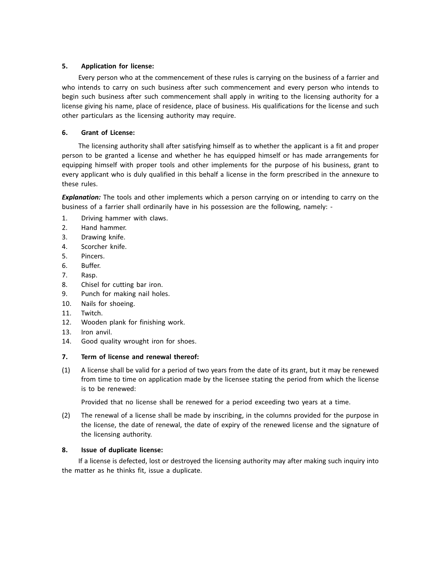# **5. Application for license:**

Every person who at the commencement of these rules is carrying on the business of a farrier and who intends to carry on such business after such commencement and every person who intends to begin such business after such commencement shall apply in writing to the licensing authority for a license giving his name, place of residence, place of business. His qualifications for the license and such other particulars as the licensing authority may require.

# **6. Grant of License:**

The licensing authority shall after satisfying himself as to whether the applicant is a fit and proper person to be granted a license and whether he has equipped himself or has made arrangements for equipping himself with proper tools and other implements for the purpose of his business, grant to every applicant who is duly qualified in this behalf a license in the form prescribed in the annexure to these rules.

*Explanation:* The tools and other implements which a person carrying on or intending to carry on the business of a farrier shall ordinarily have in his possession are the following, namely: -

- 1. Driving hammer with claws.
- 2. Hand hammer.
- 3. Drawing knife.
- 4. Scorcher knife.
- 5. Pincers.
- 6. Buffer.
- 7. Rasp.
- 8. Chisel for cutting bar iron.
- 9. Punch for making nail holes.
- 10. Nails for shoeing.
- 11. Twitch.
- 12. Wooden plank for finishing work.
- 13. Iron anvil.
- 14. Good quality wrought iron for shoes.

#### **7. Term of license and renewal thereof:**

(1) A license shall be valid for a period of two years from the date of its grant, but it may be renewed from time to time on application made by the licensee stating the period from which the license is to be renewed:

Provided that no license shall be renewed for a period exceeding two years at a time.

(2) The renewal of a license shall be made by inscribing, in the columns provided for the purpose in the license, the date of renewal, the date of expiry of the renewed license and the signature of the licensing authority.

#### **8. Issue of duplicate license:**

If a license is defected, lost or destroyed the licensing authority may after making such inquiry into the matter as he thinks fit, issue a duplicate.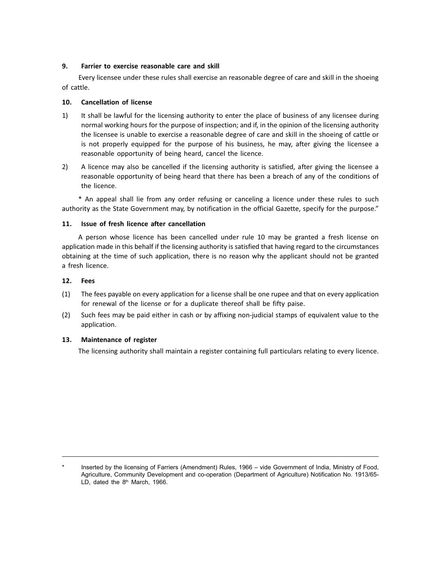#### **9. Farrier to exercise reasonable care and skill**

Every licensee under these rules shall exercise an reasonable degree of care and skill in the shoeing of cattle.

### **10. Cancellation of license**

- 1) It shall be lawful for the licensing authority to enter the place of business of any licensee during normal working hours for the purpose of inspection; and if, in the opinion of the licensing authority the licensee is unable to exercise a reasonable degree of care and skill in the shoeing of cattle or is not properly equipped for the purpose of his business, he may, after giving the licensee a reasonable opportunity of being heard, cancel the licence.
- 2) A licence may also be cancelled if the licensing authority is satisfied, after giving the licensee a reasonable opportunity of being heard that there has been a breach of any of the conditions of the licence.

\* An appeal shall lie from any order refusing or canceling a licence under these rules to such authority as the State Government may, by notification in the official Gazette, specify for the purpose.

# **11. Issue of fresh licence after cancellation**

A person whose licence has been cancelled under rule 10 may be granted a fresh license on application made in this behalf if the licensing authority is satisfied that having regard to the circumstances obtaining at the time of such application, there is no reason why the applicant should not be granted a fresh licence.

# **12. Fees**

- (1) The fees payable on every application for a license shall be one rupee and that on every application for renewal of the license or for a duplicate thereof shall be fifty paise.
- (2) Such fees may be paid either in cash or by affixing non-judicial stamps of equivalent value to the application.

#### **13. Maintenance of register**

The licensing authority shall maintain a register containing full particulars relating to every licence.

Inserted by the licensing of Farriers (Amendment) Rules, 1966 – vide Government of India, Ministry of Food, Agriculture, Community Development and co-operation (Department of Agriculture) Notification No. 1913/65- LD, dated the 8<sup>th</sup> March, 1966.